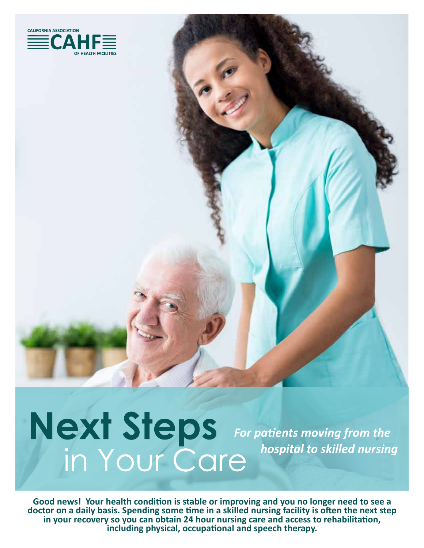

## Next Steps For patients moving from the<br>in Your Care hospital to skilled nursing hospital to skilled nursing

Good news! Your health condition is stable or improving and you no longer need to see a doctor on a daily basis. Spending some time in a skilled nursing facility is often the next step in your recovery so you can obtain 24 hour nursing care and access to rehabilitation, including physical, occupational and speech therapy.